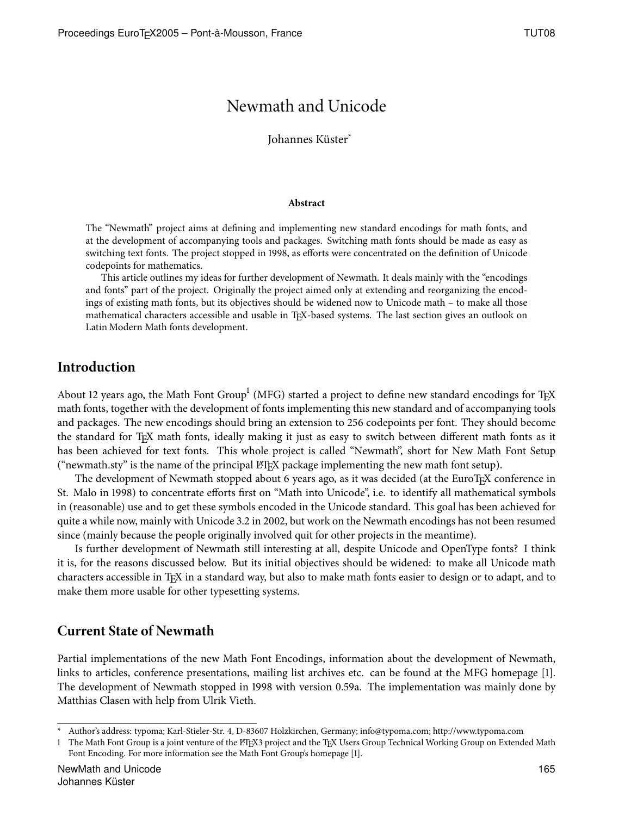# Newmath and Unicode

Johannes Küster\*

#### **Abstract**

The "Newmath" project aims at defining and implementing new standard encodings for math fonts, and at the development of accompanying tools and packages. Switching math fonts should be made as easy as switching text fonts. The project stopped in 1998, as efforts were concentrated on the definition of Unicode codepoints for mathematics.

This article outlines my ideas for further development of Newmath. It deals mainly with the "encodings and fonts" part of the project. Originally the project aimed only at extending and reorganizing the encodings of existing math fonts, but its objectives should be widened now to Unicode math – to make all those mathematical characters accessible and usable in TEX-based systems. The last section gives an outlook on Latin Modern Math fonts development.

#### **Introduction**

About 12 years ago, the Math Font Group $^{\rm l}$  (MFG) started a project to define new standard encodings for T<sub>E</sub>X math fonts, together with the development of fonts implementing this new standard and of accompanying tools and packages. The new encodings should bring an extension to 256 codepoints per font. They should become the standard for TFX math fonts, ideally making it just as easy to switch between different math fonts as it has been achieved for text fonts. This whole project is called "Newmath", short for New Math Font Setup ("newmath.sty" is the name of the principal LATEX package implementing the new math font setup).

The development of Newmath stopped about 6 years ago, as it was decided (at the EuroTEX conference in St. Malo in 1998) to concentrate efforts first on "Math into Unicode", i.e. to identify all mathematical symbols in (reasonable) use and to get these symbols encoded in the Unicode standard. This goal has been achieved for quite a while now, mainly with Unicode 3.2 in 2002, but work on the Newmath encodings has not been resumed since (mainly because the people originally involved quit for other projects in the meantime).

Is further development of Newmath still interesting at all, despite Unicode and OpenType fonts? I think it is, for the reasons discussed below. But its initial objectives should be widened: to make all Unicode math characters accessible in TEX in a standard way, but also to make math fonts easier to design or to adapt, and to make them more usable for other typesetting systems.

#### **Current State of Newmath**

Partial implementations of the new Math Font Encodings, information about the development of Newmath, links to articles, conference presentations, mailing list archives etc. can be found at the MFG homepage []. The development of Newmath stopped in 1998 with version 0.59a. The implementation was mainly done by Matthias Clasen with help from Ulrik Vieth.

Author's address: typoma; Karl-Stieler-Str. 4, D-83607 Holzkirchen, Germany; info@typoma.com; http://www.typoma.com

<sup>1</sup> The Math Font Group is a joint venture of the ETEX3 project and the TEX Users Group Technical Working Group on Extended Math Font Encoding. For more information see the Math Font Group's homepage [1].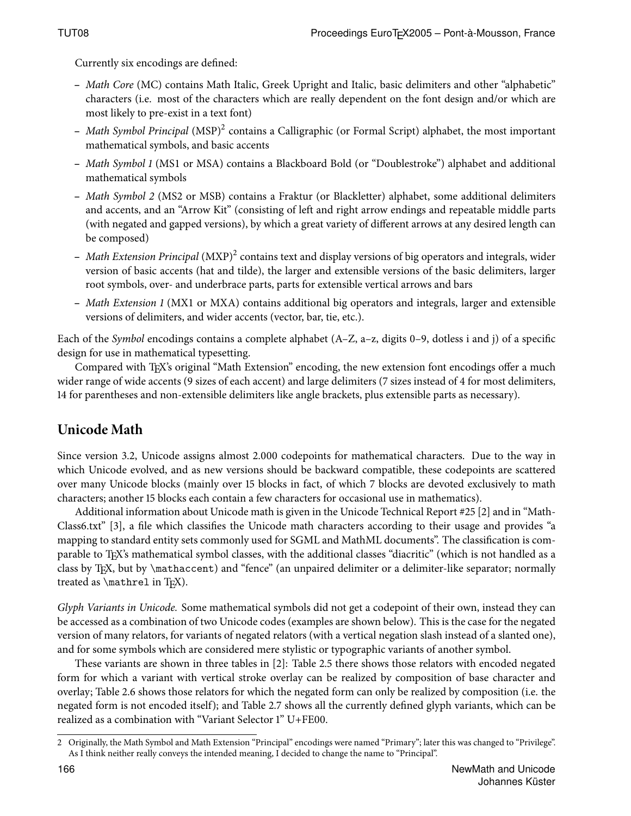Currently six encodings are defined:

- **–** Math Core (MC) contains Math Italic, Greek Upright and Italic, basic delimiters and other "alphabetic" characters (i.e. most of the characters which are really dependent on the font design and/or which are most likely to pre-exist in a text font)
- **–** Math Symbol Principal (MSP) contains a Calligraphic (or Formal Script) alphabet, the most important mathematical symbols, and basic accents
- **–** Math Symbol (MS1 or MSA) contains a Blackboard Bold (or "Doublestroke") alphabet and additional mathematical symbols
- **–** Math Symbol (MS2 or MSB) contains a Fraktur (or Blackletter) alphabet, some additional delimiters and accents, and an "Arrow Kit" (consisting of left and right arrow endings and repeatable middle parts (with negated and gapped versions), by which a great variety of different arrows at any desired length can be composed)
- Math Extension Principal (MXP)<sup>2</sup> contains text and display versions of big operators and integrals, wider version of basic accents (hat and tilde), the larger and extensible versions of the basic delimiters, larger root symbols, over- and underbrace parts, parts for extensible vertical arrows and bars
- **–** Math Extension (MX1 or MXA) contains additional big operators and integrals, larger and extensible versions of delimiters, and wider accents (vector, bar, tie, etc.).

Each of the *Symbol* encodings contains a complete alphabet  $(A-Z, a-z, \text{ digits } 0-9, \text{ dotless } i \text{ and } j)$  of a specific design for use in mathematical typesetting.

Compared with TEX's original "Math Extension" encoding, the new extension font encodings offer a much wider range of wide accents (9 sizes of each accent) and large delimiters (7 sizes instead of 4 for most delimiters, 14 for parentheses and non-extensible delimiters like angle brackets, plus extensible parts as necessary).

# **Unicode Math**

Since version 3.2, Unicode assigns almost 2.000 codepoints for mathematical characters. Due to the way in which Unicode evolved, and as new versions should be backward compatible, these codepoints are scattered over many Unicode blocks (mainly over 15 blocks in fact, of which 7 blocks are devoted exclusively to math characters; another 15 blocks each contain a few characters for occasional use in mathematics).

Additional information about Unicode math is given in the Unicode Technical Report #25 [2] and in "Math-Class6.txt" [3], a file which classifies the Unicode math characters according to their usage and provides "a mapping to standard entity sets commonly used for SGML and MathML documents". The classification is comparable to T<sub>E</sub>X's mathematical symbol classes, with the additional classes "diacritic" (which is not handled as a class by TEX, but by \mathaccent) and "fence" (an unpaired delimiter or a delimiter-like separator; normally treated as  $\mathcal{L}$  in T<sub>E</sub>X).

Glyph Variants in Unicode. Some mathematical symbols did not get a codepoint of their own, instead they can be accessed as a combination of two Unicode codes (examples are shown below). This is the case for the negated version of many relators, for variants of negated relators (with a vertical negation slash instead of a slanted one), and for some symbols which are considered mere stylistic or typographic variants of another symbol.

These variants are shown in three tables in  $[2]$ : Table 2.5 there shows those relators with encoded negated form for which a variant with vertical stroke overlay can be realized by composition of base character and overlay; Table 2.6 shows those relators for which the negated form can only be realized by composition (i.e. the negated form is not encoded itself); and Table 2.7 shows all the currently defined glyph variants, which can be realized as a combination with "Variant Selector 1" U+FE00.

Originally, the Math Symbol and Math Extension "Principal" encodings were named "Primary"; later this was changed to "Privilege". As I think neither really conveys the intended meaning, I decided to change the name to "Principal".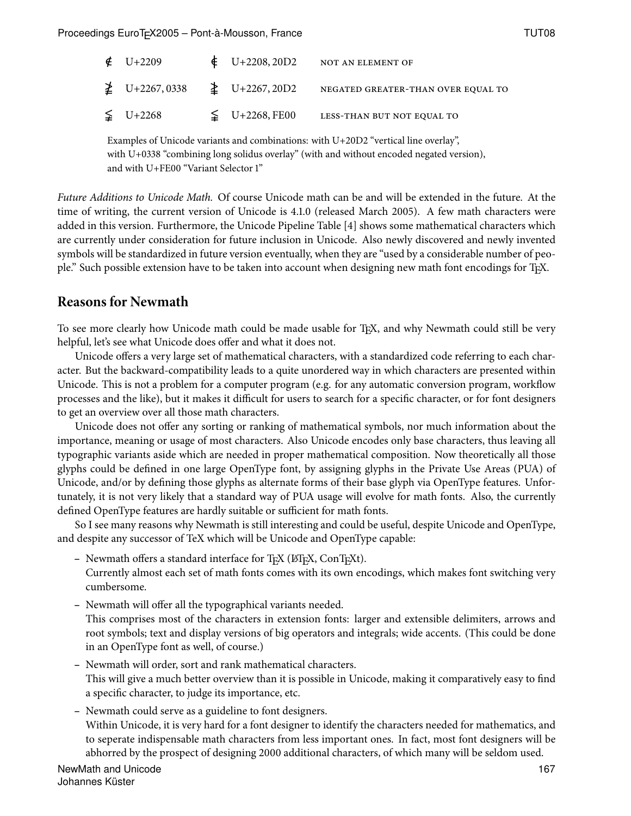| $\text{C}$ U+2209                     | $\text{U+2208, 20D2}$ | NOT AN ELEMENT OF                  |
|---------------------------------------|-----------------------|------------------------------------|
| $\neq$ U+2267,0338 $\geq$ U+2267,20D2 |                       | NEGATED GREATER-THAN OVER EQUAL TO |
| $\leq U+2268$                         | $\leq U+2268,$ FE00   | LESS-THAN BUT NOT EQUAL TO         |

Examples of Unicode variants and combinations: with U+20D2 "vertical line overlay", with  $U+0338$  "combining long solidus overlay" (with and without encoded negated version), and with U+FE00 "Variant Selector 1"

Future Additions to Unicode Math. Of course Unicode math can be and will be extended in the future. At the time of writing, the current version of Unicode is 4.1.0 (released March 2005). A few math characters were added in this version. Furthermore, the Unicode Pipeline Table [4] shows some mathematical characters which are currently under consideration for future inclusion in Unicode. Also newly discovered and newly invented symbols will be standardized in future version eventually, when they are "used by a considerable number of people." Such possible extension have to be taken into account when designing new math font encodings for TEX.

#### **Reasons for Newmath**

To see more clearly how Unicode math could be made usable for TEX, and why Newmath could still be very helpful, let's see what Unicode does offer and what it does not.

Unicode offers a very large set of mathematical characters, with a standardized code referring to each character. But the backward-compatibility leads to a quite unordered way in which characters are presented within Unicode. This is not a problem for a computer program (e.g. for any automatic conversion program, workflow processes and the like), but it makes it difficult for users to search for a specific character, or for font designers to get an overview over all those math characters.

Unicode does not offer any sorting or ranking of mathematical symbols, nor much information about the importance, meaning or usage of most characters. Also Unicode encodes only base characters, thus leaving all typographic variants aside which are needed in proper mathematical composition. Now theoretically all those glyphs could be defined in one large OpenType font, by assigning glyphs in the Private Use Areas (PUA) of Unicode, and/or by defining those glyphs as alternate forms of their base glyph via OpenType features. Unfortunately, it is not very likely that a standard way of PUA usage will evolve for math fonts. Also, the currently defined OpenType features are hardly suitable or sufficient for math fonts.

So I see many reasons why Newmath is still interesting and could be useful, despite Unicode and OpenType, and despite any successor of TeX which will be Unicode and OpenType capable:

- Newmath offers a standard interface for T<sub>E</sub>X (ET<sub>E</sub>X, ConT<sub>E</sub>Xt).
- Currently almost each set of math fonts comes with its own encodings, which makes font switching very cumbersome.
- Newmath will offer all the typographical variants needed.

This comprises most of the characters in extension fonts: larger and extensible delimiters, arrows and root symbols; text and display versions of big operators and integrals; wide accents. (This could be done in an OpenType font as well, of course.)

- **–** Newmath will order, sort and rank mathematical characters. This will give a much better overview than it is possible in Unicode, making it comparatively easy to find a specific character, to judge its importance, etc.
- **–** Newmath could serve as a guideline to font designers. Within Unicode, it is very hard for a font designer to identify the characters needed for mathematics, and to seperate indispensable math characters from less important ones. In fact, most font designers will be abhorred by the prospect of designing 2000 additional characters, of which many will be seldom used.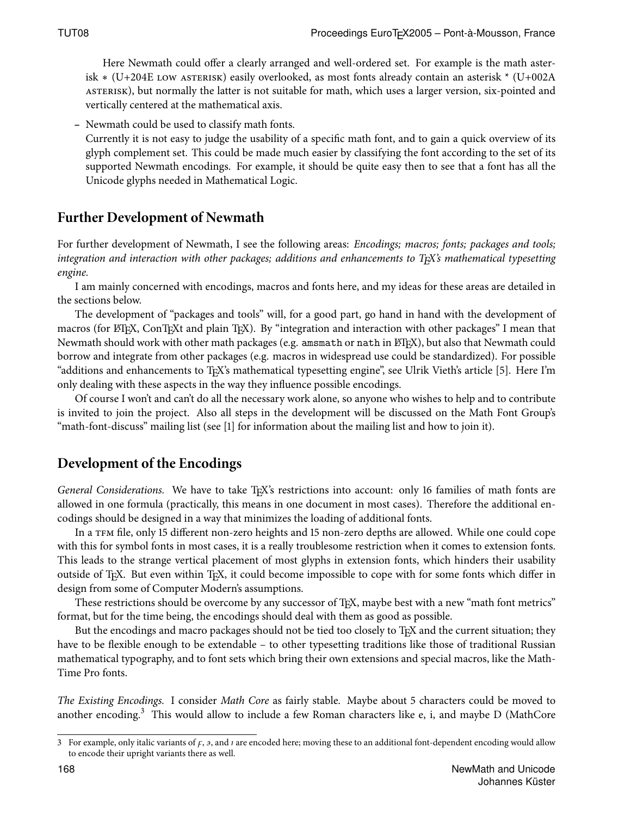Here Newmath could offer a clearly arranged and well-ordered set. For example is the math asterisk  $*(U+204E)$  LOW ASTERISK) easily overlooked, as most fonts already contain an asterisk  $*(U+002A)$ ASTERISK), but normally the latter is not suitable for math, which uses a larger version, six-pointed and vertically centered at the mathematical axis.

**–** Newmath could be used to classify math fonts.

Currently it is not easy to judge the usability of a specific math font, and to gain a quick overview of its glyph complement set. This could be made much easier by classifying the font according to the set of its supported Newmath encodings. For example, it should be quite easy then to see that a font has all the Unicode glyphs needed in Mathematical Logic.

### **Further Development of Newmath**

For further development of Newmath, I see the following areas: Encodings; macros; fonts; packages and tools; integration and interaction with other packages; additions and enhancements to T<sub>E</sub>X's mathematical typesetting engine.

I am mainly concerned with encodings, macros and fonts here, and my ideas for these areas are detailed in the sections below.

The development of "packages and tools" will, for a good part, go hand in hand with the development of macros (for LATEX, ConTEXt and plain TEX). By "integration and interaction with other packages" I mean that Newmath should work with other math packages (e.g. amsmath or nath in LATEX), but also that Newmath could borrow and integrate from other packages (e.g. macros in widespread use could be standardized). For possible "additions and enhancements to TEX's mathematical typesetting engine", see Ulrik Vieth's article []. Here I'm only dealing with these aspects in the way they influence possible encodings.

Of course I won't and can't do all the necessary work alone, so anyone who wishes to help and to contribute is invited to join the project. Also all steps in the development will be discussed on the Math Font Group's "math-font-discuss" mailing list (see [] for information about the mailing list and how to join it).

### **Development of the Encodings**

General Considerations. We have to take TEX's restrictions into account: only 16 families of math fonts are allowed in one formula (practically, this means in one document in most cases). Therefore the additional encodings should be designed in a way that minimizes the loading of additional fonts.

In a TFM file, only 15 different non-zero heights and 15 non-zero depths are allowed. While one could cope with this for symbol fonts in most cases, it is a really troublesome restriction when it comes to extension fonts. This leads to the strange vertical placement of most glyphs in extension fonts, which hinders their usability outside of TEX. But even within TEX, it could become impossible to cope with for some fonts which differ in design from some of Computer Modern's assumptions.

These restrictions should be overcome by any successor of T<sub>E</sub>X, maybe best with a new "math font metrics" format, but for the time being, the encodings should deal with them as good as possible.

But the encodings and macro packages should not be tied too closely to T<sub>E</sub>X and the current situation; they have to be flexible enough to be extendable - to other typesetting traditions like those of traditional Russian mathematical typography, and to font sets which bring their own extensions and special macros, like the Math-Time Pro fonts.

The Existing Encodings. I consider Math Core as fairly stable. Maybe about 5 characters could be moved to another encoding.<sup>3</sup> This would allow to include a few Roman characters like e, i, and maybe D (MathCore

<sup>3</sup> For example, only italic variants of  $f$ ,  $\sigma$ , and  $\tau$  are encoded here; moving these to an additional font-dependent encoding would allow to encode their upright variants there as well.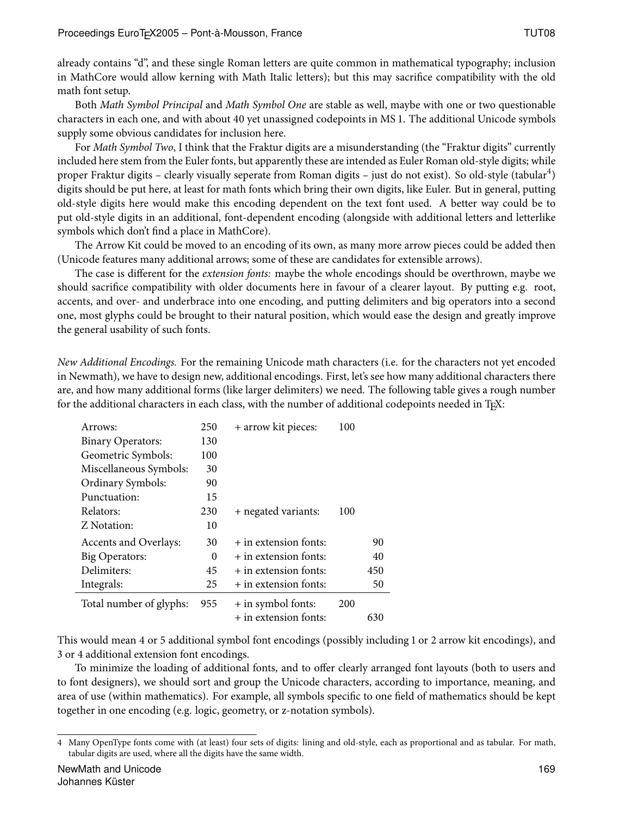already contains "d", and these single Roman letters are quite common in mathematical typography; inclusion in MathCore would allow kerning with Math Italic letters); but this may sacrice compatibility with the old math font setup.

Both Math Symbol Principal and Math Symbol One are stable as well, maybe with one or two questionable characters in each one, and with about 40 yet unassigned codepoints in MS 1. The additional Unicode symbols supply some obvious candidates for inclusion here.

For Math Symbol Two, I think that the Fraktur digits are a misunderstanding (the "Fraktur digits" currently included here stem from the Euler fonts, but apparently these are intended as Euler Roman old-style digits; while proper Fraktur digits – clearly visually seperate from Roman digits – just do not exist). So old-style (tabular<sup>4</sup>) digits should be put here, at least for math fonts which bring their own digits, like Euler. But in general, putting old-style digits here would make this encoding dependent on the text font used. A better way could be to put old-style digits in an additional, font-dependent encoding (alongside with additional letters and letterlike symbols which don't find a place in MathCore).

The Arrow Kit could be moved to an encoding of its own, as many more arrow pieces could be added then (Unicode features many additional arrows; some of these are candidates for extensible arrows).

The case is different for the extension fonts: maybe the whole encodings should be overthrown, maybe we should sacrifice compatibility with older documents here in favour of a clearer layout. By putting e.g. root, accents, and over- and underbrace into one encoding, and putting delimiters and big operators into a second one, most glyphs could be brought to their natural position, which would ease the design and greatly improve the general usability of such fonts.

New Additional Encodings. For the remaining Unicode math characters (i.e. for the characters not yet encoded in Newmath), we have to design new, additional encodings. First, let's see how many additional characters there are, and how many additional forms (like larger delimiters) we need. The following table gives a rough number for the additional characters in each class, with the number of additional codepoints needed in TFX:

| Arrows:                  | 250      | + arrow kit pieces:     | 100 |     |
|--------------------------|----------|-------------------------|-----|-----|
| <b>Binary Operators:</b> | 130      |                         |     |     |
| Geometric Symbols:       | 100      |                         |     |     |
| Miscellaneous Symbols:   | 30       |                         |     |     |
| Ordinary Symbols:        | 90       |                         |     |     |
| Punctuation:             | 15       |                         |     |     |
| Relators:                | 230      | + negated variants:     | 100 |     |
| Z Notation:              | 10       |                         |     |     |
| Accents and Overlays:    | 30       | $+$ in extension fonts: |     | 90  |
| Big Operators:           | $\Omega$ | $+$ in extension fonts: |     | 40  |
| Delimiters:              | 45       | $+$ in extension fonts: |     | 450 |
| Integrals:               | 25       | + in extension fonts:   |     | 50  |
| Total number of glyphs:  | 955      | + in symbol fonts:      | 200 |     |
|                          |          | + in extension fonts:   |     | 630 |

This would mean 4 or 5 additional symbol font encodings (possibly including 1 or 2 arrow kit encodings), and 3 or 4 additional extension font encodings.

To minimize the loading of additional fonts, and to offer clearly arranged font layouts (both to users and to font designers), we should sort and group the Unicode characters, according to importance, meaning, and area of use (within mathematics). For example, all symbols specific to one field of mathematics should be kept together in one encoding (e.g. logic, geometry, or z-notation symbols).

Many OpenType fonts come with (at least) four sets of digits: lining and old-style, each as proportional and as tabular. For math, tabular digits are used, where all the digits have the same width.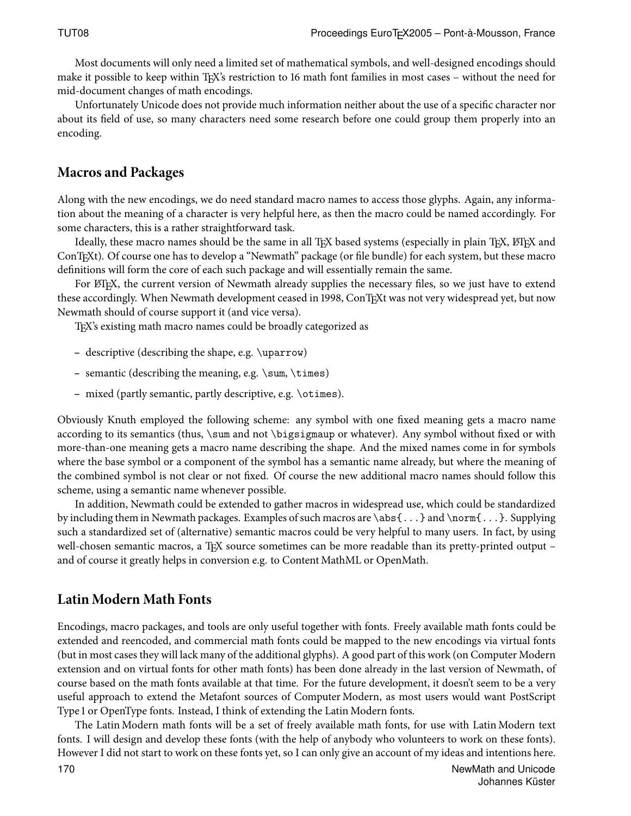Most documents will only need a limited set of mathematical symbols, and well-designed encodings should make it possible to keep within T<sub>E</sub>X's restriction to 16 math font families in most cases – without the need for mid-document changes of math encodings.

Unfortunately Unicode does not provide much information neither about the use of a specific character nor about its field of use, so many characters need some research before one could group them properly into an encoding.

### **Macros and Packages**

Along with the new encodings, we do need standard macro names to access those glyphs. Again, any information about the meaning of a character is very helpful here, as then the macro could be named accordingly. For some characters, this is a rather straightforward task.

Ideally, these macro names should be the same in all TEX based systems (especially in plain TEX, ETEX and ConTEXt). Of course one has to develop a "Newmath" package (or file bundle) for each system, but these macro definitions will form the core of each such package and will essentially remain the same.

For LATEX, the current version of Newmath already supplies the necessary files, so we just have to extend these accordingly. When Newmath development ceased in 1998, ConTEXt was not very widespread yet, but now Newmath should of course support it (and vice versa).

TEX's existing math macro names could be broadly categorized as

- **–** descriptive (describing the shape, e.g. \uparrow)
- **–** semantic (describing the meaning, e.g. \sum, \times)
- **–** mixed (partly semantic, partly descriptive, e.g. \otimes).

Obviously Knuth employed the following scheme: any symbol with one fixed meaning gets a macro name according to its semantics (thus, \sum and not \bigsigmaup or whatever). Any symbol without fixed or with more-than-one meaning gets a macro name describing the shape. And the mixed names come in for symbols where the base symbol or a component of the symbol has a semantic name already, but where the meaning of the combined symbol is not clear or not fixed. Of course the new additional macro names should follow this scheme, using a semantic name whenever possible.

In addition, Newmath could be extended to gather macros in widespread use, which could be standardized by including them in Newmath packages. Examples of such macros are \abs{...} and \norm{...}. Supplying such a standardized set of (alternative) semantic macros could be very helpful to many users. In fact, by using well-chosen semantic macros, a T<sub>EX</sub> source sometimes can be more readable than its pretty-printed output – and of course it greatly helps in conversion e.g. to Content MathML or OpenMath.

## **Latin Modern Math Fonts**

Encodings, macro packages, and tools are only useful together with fonts. Freely available math fonts could be extended and reencoded, and commercial math fonts could be mapped to the new encodings via virtual fonts (but in most cases they will lack many of the additional glyphs). A good part of this work (on Computer Modern extension and on virtual fonts for other math fonts) has been done already in the last version of Newmath, of course based on the math fonts available at that time. For the future development, it doesn't seem to be a very useful approach to extend the Metafont sources of Computer Modern, as most users would want PostScript Type 1 or OpenType fonts. Instead, I think of extending the Latin Modern fonts.

The Latin Modern math fonts will be a set of freely available math fonts, for use with Latin Modern text fonts. I will design and develop these fonts (with the help of anybody who volunteers to work on these fonts). However I did not start to work on these fonts yet, so I can only give an account of my ideas and intentions here.